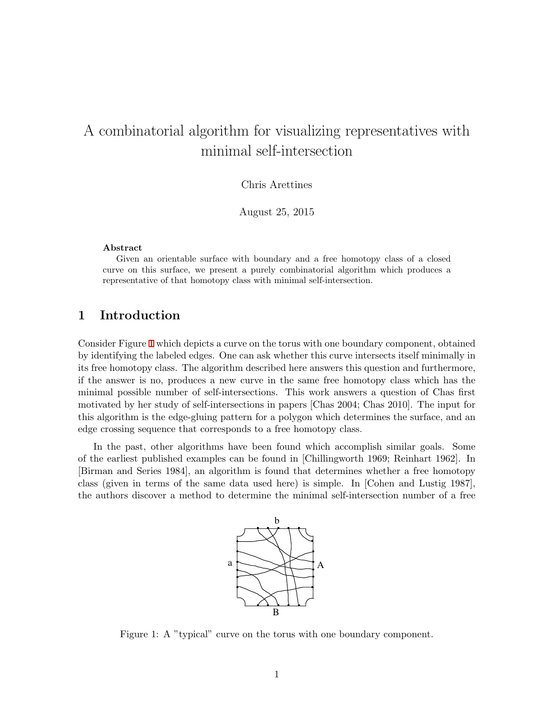# A combinatorial algorithm for visualizing representatives with minimal self-intersection

Chris Arettines

August 25, 2015

#### **Abstract**

Given an orientable surface with boundary and a free homotopy class of a closed curve on this surface, we present a purely combinatorial algorithm which produces a representative of that homotopy class with minimal self-intersection.

## **1 Introduction**

Consider Figure [1](#page-0-0) which depicts a curve on the torus with one boundary component, obtained by identifying the labeled edges. One can ask whether this curve intersects itself minimally in its free homotopy class. The algorithm described here answers this question and furthermore, if the answer is no, produces a new curve in the same free homotopy class which has the minimal possible number of self-intersections. This work answers a question of Chas first motivated by her study of self-intersections in papers [Chas 2004; Chas 2010]. The input for this algorithm is the edge-gluing pattern for a polygon which determines the surface, and an edge crossing sequence that corresponds to a free homotopy class.

In the past, other algorithms have been found which accomplish similar goals. Some of the earliest published examples can be found in [Chillingworth 1969; Reinhart 1962]. In [Birman and Series 1984], an algorithm is found that determines whether a free homotopy class (given in terms of the same data used here) is simple. In [Cohen and Lustig 1987], the authors discover a method to determine the minimal self-intersection number of a free



<span id="page-0-0"></span>Figure 1: A "typical" curve on the torus with one boundary component.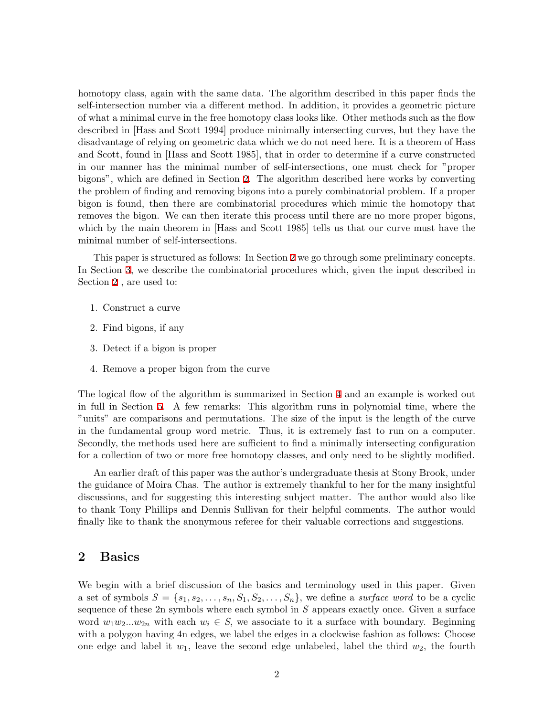homotopy class, again with the same data. The algorithm described in this paper finds the self-intersection number via a different method. In addition, it provides a geometric picture of what a minimal curve in the free homotopy class looks like. Other methods such as the flow described in [Hass and Scott 1994] produce minimally intersecting curves, but they have the disadvantage of relying on geometric data which we do not need here. It is a theorem of Hass and Scott, found in [Hass and Scott 1985], that in order to determine if a curve constructed in our manner has the minimal number of self-intersections, one must check for "proper bigons", which are defined in Section [2.](#page-1-0) The algorithm described here works by converting the problem of finding and removing bigons into a purely combinatorial problem. If a proper bigon is found, then there are combinatorial procedures which mimic the homotopy that removes the bigon. We can then iterate this process until there are no more proper bigons, which by the main theorem in [Hass and Scott 1985] tells us that our curve must have the minimal number of self-intersections.

This paper is structured as follows: In Section [2](#page-1-0) we go through some preliminary concepts. In Section [3,](#page-3-0) we describe the combinatorial procedures which, given the input described in Section [2](#page-1-0) , are used to:

- 1. Construct a curve
- 2. Find bigons, if any
- 3. Detect if a bigon is proper
- 4. Remove a proper bigon from the curve

The logical flow of the algorithm is summarized in Section [4](#page-13-0) and an example is worked out in full in Section [5.](#page-14-0) A few remarks: This algorithm runs in polynomial time, where the "units" are comparisons and permutations. The size of the input is the length of the curve in the fundamental group word metric. Thus, it is extremely fast to run on a computer. Secondly, the methods used here are sufficient to find a minimally intersecting configuration for a collection of two or more free homotopy classes, and only need to be slightly modified.

An earlier draft of this paper was the author's undergraduate thesis at Stony Brook, under the guidance of Moira Chas. The author is extremely thankful to her for the many insightful discussions, and for suggesting this interesting subject matter. The author would also like to thank Tony Phillips and Dennis Sullivan for their helpful comments. The author would finally like to thank the anonymous referee for their valuable corrections and suggestions.

## <span id="page-1-0"></span>**2 Basics**

We begin with a brief discussion of the basics and terminology used in this paper. Given a set of symbols  $S = \{s_1, s_2, \ldots, s_n, S_1, S_2, \ldots, S_n\}$ , we define a *surface word* to be a cyclic sequence of these 2n symbols where each symbol in *S* appears exactly once. Given a surface word  $w_1w_2...w_{2n}$  with each  $w_i \in S$ , we associate to it a surface with boundary. Beginning with a polygon having 4n edges, we label the edges in a clockwise fashion as follows: Choose one edge and label it  $w_1$ , leave the second edge unlabeled, label the third  $w_2$ , the fourth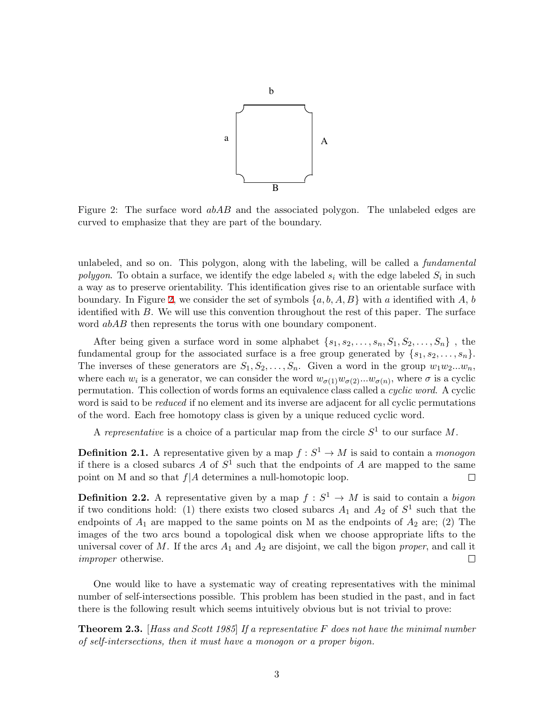

<span id="page-2-0"></span>Figure 2: The surface word *abAB* and the associated polygon. The unlabeled edges are curved to emphasize that they are part of the boundary.

unlabeled, and so on. This polygon, along with the labeling, will be called a *fundamental polygon*. To obtain a surface, we identify the edge labeled  $s_i$  with the edge labeled  $S_i$  in such a way as to preserve orientability. This identification gives rise to an orientable surface with boundary. In Figure [2,](#page-2-0) we consider the set of symbols  $\{a, b, A, B\}$  with *a* identified with *A*, *b* identified with *B*. We will use this convention throughout the rest of this paper. The surface word *abAB* then represents the torus with one boundary component.

After being given a surface word in some alphabet  $\{s_1, s_2, \ldots, s_n, S_1, S_2, \ldots, S_n\}$ , the fundamental group for the associated surface is a free group generated by  $\{s_1, s_2, \ldots, s_n\}$ . The inverses of these generators are  $S_1, S_2, \ldots, S_n$ . Given a word in the group  $w_1w_2...w_n$ , where each  $w_i$  is a generator, we can consider the word  $w_{\sigma(1)}w_{\sigma(2)}...w_{\sigma(n)}$ , where  $\sigma$  is a cyclic permutation. This collection of words forms an equivalence class called a *cyclic word*. A cyclic word is said to be *reduced* if no element and its inverse are adjacent for all cyclic permutations of the word. Each free homotopy class is given by a unique reduced cyclic word.

A *representative* is a choice of a particular map from the circle  $S^1$  to our surface M.

**Definition 2.1.** A representative given by a map  $f : S^1 \to M$  is said to contain a *monogon* if there is a closed subarcs  $A$  of  $S^1$  such that the endpoints of  $A$  are mapped to the same point on M and so that *f|A* determines a null-homotopic loop.  $\Box$ 

**Definition 2.2.** A representative given by a map  $f: S^1 \to M$  is said to contain a *bigon* if two conditions hold: (1) there exists two closed subarcs  $A_1$  and  $A_2$  of  $S^1$  such that the endpoints of  $A_1$  are mapped to the same points on M as the endpoints of  $A_2$  are; (2) The images of the two arcs bound a topological disk when we choose appropriate lifts to the universal cover of  $M$ . If the arcs  $A_1$  and  $A_2$  are disjoint, we call the bigon *proper*, and call it *improper* otherwise.  $\Box$ 

One would like to have a systematic way of creating representatives with the minimal number of self-intersections possible. This problem has been studied in the past, and in fact there is the following result which seems intuitively obvious but is not trivial to prove:

<span id="page-2-1"></span>**Theorem 2.3.** [*Hass and Scott 1985*] *If a representative F does not have the minimal number of self-intersections, then it must have a monogon or a proper bigon.*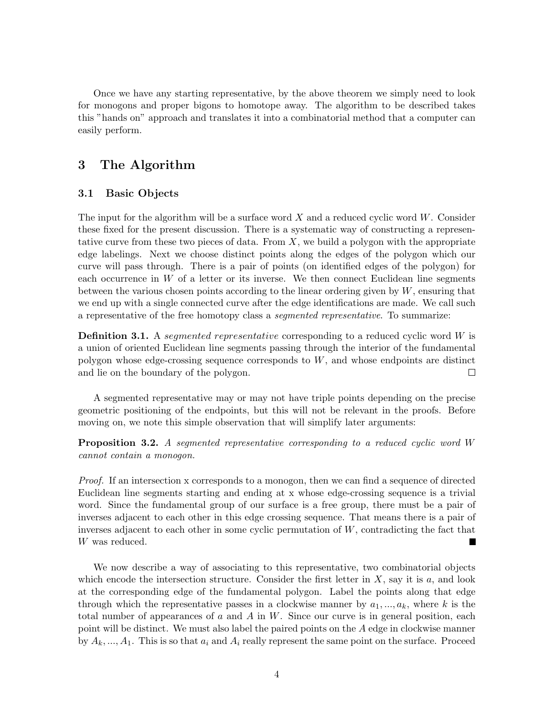Once we have any starting representative, by the above theorem we simply need to look for monogons and proper bigons to homotope away. The algorithm to be described takes this "hands on" approach and translates it into a combinatorial method that a computer can easily perform.

# <span id="page-3-0"></span>**3 The Algorithm**

#### **3.1 Basic Objects**

The input for the algorithm will be a surface word *X* and a reduced cyclic word *W*. Consider these fixed for the present discussion. There is a systematic way of constructing a representative curve from these two pieces of data. From *X*, we build a polygon with the appropriate edge labelings. Next we choose distinct points along the edges of the polygon which our curve will pass through. There is a pair of points (on identified edges of the polygon) for each occurrence in *W* of a letter or its inverse. We then connect Euclidean line segments between the various chosen points according to the linear ordering given by *W*, ensuring that we end up with a single connected curve after the edge identifications are made. We call such a representative of the free homotopy class a *segmented representative*. To summarize:

**Definition 3.1.** A *segmented representative* corresponding to a reduced cyclic word *W* is a union of oriented Euclidean line segments passing through the interior of the fundamental polygon whose edge-crossing sequence corresponds to *W*, and whose endpoints are distinct and lie on the boundary of the polygon.  $\Box$ 

A segmented representative may or may not have triple points depending on the precise geometric positioning of the endpoints, but this will not be relevant in the proofs. Before moving on, we note this simple observation that will simplify later arguments:

**Proposition 3.2.** *A segmented representative corresponding to a reduced cyclic word W cannot contain a monogon.*

*Proof.* If an intersection x corresponds to a monogon, then we can find a sequence of directed Euclidean line segments starting and ending at x whose edge-crossing sequence is a trivial word. Since the fundamental group of our surface is a free group, there must be a pair of inverses adjacent to each other in this edge crossing sequence. That means there is a pair of inverses adjacent to each other in some cyclic permutation of *W*, contradicting the fact that *W* was reduced.

We now describe a way of associating to this representative, two combinatorial objects which encode the intersection structure. Consider the first letter in *X*, say it is *a*, and look at the corresponding edge of the fundamental polygon. Label the points along that edge through which the representative passes in a clockwise manner by  $a_1, \ldots, a_k$ , where *k* is the total number of appearances of *a* and *A* in *W*. Since our curve is in general position, each point will be distinct. We must also label the paired points on the *A* edge in clockwise manner by  $A_k, \ldots, A_1$ . This is so that  $a_i$  and  $A_i$  really represent the same point on the surface. Proceed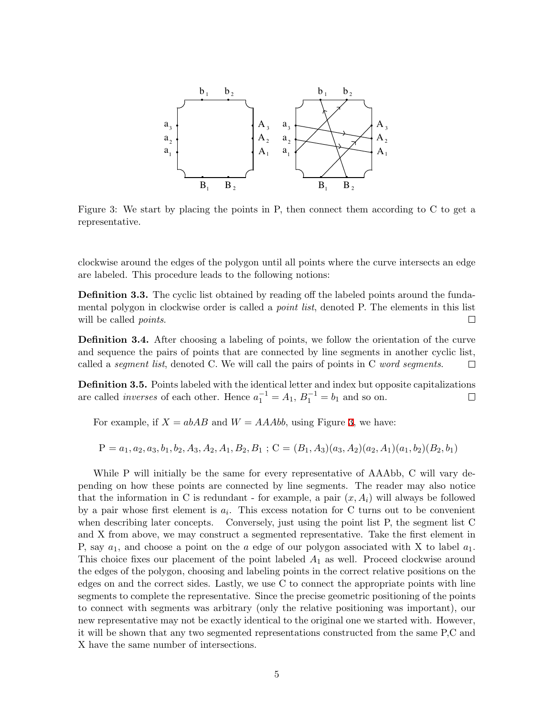

<span id="page-4-0"></span>Figure 3: We start by placing the points in P, then connect them according to C to get a representative.

clockwise around the edges of the polygon until all points where the curve intersects an edge are labeled. This procedure leads to the following notions:

**Definition 3.3.** The cyclic list obtained by reading off the labeled points around the fundamental polygon in clockwise order is called a *point list*, denoted P. The elements in this list will be called *points*.  $\Box$ 

**Definition 3.4.** After choosing a labeling of points, we follow the orientation of the curve and sequence the pairs of points that are connected by line segments in another cyclic list, called a *segment list*, denoted C. We will call the pairs of points in C *word segments*.  $\Box$ 

**Definition 3.5.** Points labeled with the identical letter and index but opposite capitalizations are called *inverses* of each other. Hence  $a_1^{-1} = A_1$ ,  $B_1^{-1} = b_1$  and so on.  $\Box$ 

For example, if  $X = abAB$  and  $W = AAAbb$ , using Figure [3,](#page-4-0) we have:

$$
P = a_1, a_2, a_3, b_1, b_2, A_3, A_2, A_1, B_2, B_1; C = (B_1, A_3)(a_3, A_2)(a_2, A_1)(a_1, b_2)(B_2, b_1)
$$

While P will initially be the same for every representative of AAAbb, C will vary depending on how these points are connected by line segments. The reader may also notice that the information in C is redundant - for example, a pair  $(x, A_i)$  will always be followed by a pair whose first element is  $a_i$ . This excess notation for C turns out to be convenient when describing later concepts. Conversely, just using the point list P, the segment list C and X from above, we may construct a segmented representative. Take the first element in P, say *a*1, and choose a point on the *a* edge of our polygon associated with X to label *a*1. This choice fixes our placement of the point labeled *A*<sup>1</sup> as well. Proceed clockwise around the edges of the polygon, choosing and labeling points in the correct relative positions on the edges on and the correct sides. Lastly, we use C to connect the appropriate points with line segments to complete the representative. Since the precise geometric positioning of the points to connect with segments was arbitrary (only the relative positioning was important), our new representative may not be exactly identical to the original one we started with. However, it will be shown that any two segmented representations constructed from the same P,C and X have the same number of intersections.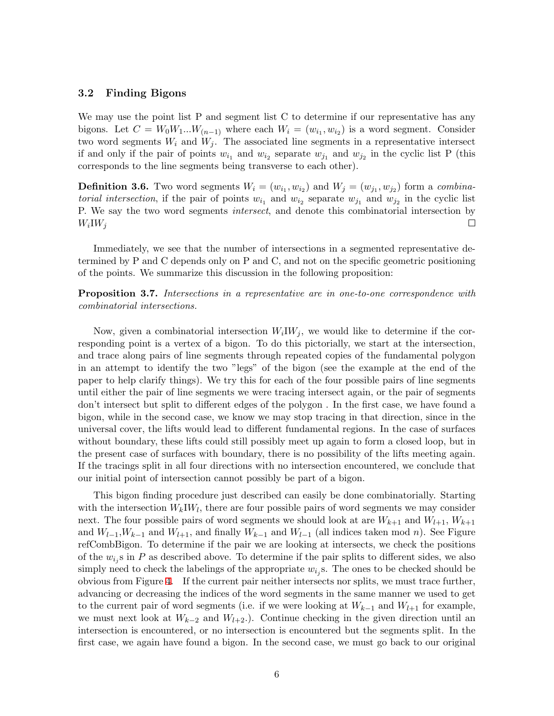#### **3.2 Finding Bigons**

We may use the point list P and segment list C to determine if our representative has any bigons. Let  $C = W_0 W_1 ... W_{(n-1)}$  where each  $W_i = (w_{i_1}, w_{i_2})$  is a word segment. Consider two word segments  $W_i$  and  $W_j$ . The associated line segments in a representative intersect if and only if the pair of points  $w_{i_1}$  and  $w_{i_2}$  separate  $w_{j_1}$  and  $w_{j_2}$  in the cyclic list P (this corresponds to the line segments being transverse to each other).

**Definition 3.6.** Two word segments  $W_i = (w_{i_1}, w_{i_2})$  and  $W_j = (w_{j_1}, w_{j_2})$  form a *combinatorial intersection*, if the pair of points  $w_{i_1}$  and  $w_{i_2}$  separate  $w_{j_1}$  and  $w_{j_2}$  in the cyclic list P. We say the two word segments *intersect*, and denote this combinatorial intersection by  $W_i$ *IW<sub>i</sub>*  $\Box$ 

Immediately, we see that the number of intersections in a segmented representative determined by P and C depends only on P and C, and not on the specific geometric positioning of the points. We summarize this discussion in the following proposition:

**Proposition 3.7.** *Intersections in a representative are in one-to-one correspondence with combinatorial intersections.*

Now, given a combinatorial intersection  $W_i W_j$ , we would like to determine if the corresponding point is a vertex of a bigon. To do this pictorially, we start at the intersection, and trace along pairs of line segments through repeated copies of the fundamental polygon in an attempt to identify the two "legs" of the bigon (see the example at the end of the paper to help clarify things). We try this for each of the four possible pairs of line segments until either the pair of line segments we were tracing intersect again, or the pair of segments don't intersect but split to different edges of the polygon . In the first case, we have found a bigon, while in the second case, we know we may stop tracing in that direction, since in the universal cover, the lifts would lead to different fundamental regions. In the case of surfaces without boundary, these lifts could still possibly meet up again to form a closed loop, but in the present case of surfaces with boundary, there is no possibility of the lifts meeting again. If the tracings split in all four directions with no intersection encountered, we conclude that our initial point of intersection cannot possibly be part of a bigon.

This bigon finding procedure just described can easily be done combinatorially. Starting with the intersection  $W_k I W_l$ , there are four possible pairs of word segments we may consider next. The four possible pairs of word segments we should look at are  $W_{k+1}$  and  $W_{l+1}$ ,  $W_{k+1}$ and  $W_{l-1}, W_{k-1}$  and  $W_{l+1}$ , and finally  $W_{k-1}$  and  $W_{l-1}$  (all indices taken mod *n*). See Figure refCombBigon. To determine if the pair we are looking at intersects, we check the positions of the  $w_{i_j}$ s in  $P$  as described above. To determine if the pair splits to different sides, we also simply need to check the labelings of the appropriate  $w_{i_j}$ s. The ones to be checked should be obvious from Figure [4.](#page-6-0) If the current pair neither intersects nor splits, we must trace further, advancing or decreasing the indices of the word segments in the same manner we used to get to the current pair of word segments (i.e. if we were looking at  $W_{k-1}$  and  $W_{l+1}$  for example, we must next look at  $W_{k-2}$  and  $W_{l+2}$ . Continue checking in the given direction until an intersection is encountered, or no intersection is encountered but the segments split. In the first case, we again have found a bigon. In the second case, we must go back to our original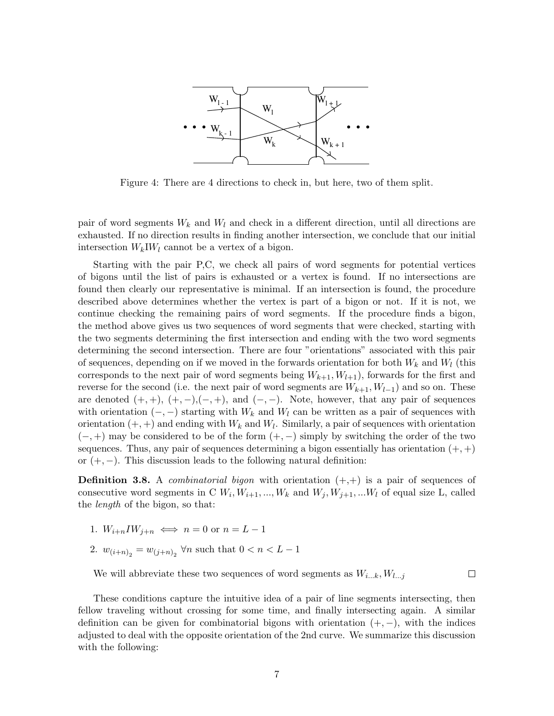

<span id="page-6-0"></span>Figure 4: There are 4 directions to check in, but here, two of them split.

pair of word segments  $W_k$  and  $W_l$  and check in a different direction, until all directions are exhausted. If no direction results in finding another intersection, we conclude that our initial intersection  $W_k I W_l$  cannot be a vertex of a bigon.

Starting with the pair P,C, we check all pairs of word segments for potential vertices of bigons until the list of pairs is exhausted or a vertex is found. If no intersections are found then clearly our representative is minimal. If an intersection is found, the procedure described above determines whether the vertex is part of a bigon or not. If it is not, we continue checking the remaining pairs of word segments. If the procedure finds a bigon, the method above gives us two sequences of word segments that were checked, starting with the two segments determining the first intersection and ending with the two word segments determining the second intersection. There are four "orientations" associated with this pair of sequences, depending on if we moved in the forwards orientation for both  $W_k$  and  $W_l$  (this corresponds to the next pair of word segments being  $W_{k+1}, W_{l+1}$ , forwards for the first and reverse for the second (i.e. the next pair of word segments are  $W_{k+1}, W_{l-1}$ ) and so on. These are denoted  $(+, +)$ ,  $(+, -), (-, +)$ , and  $(-, -)$ . Note, however, that any pair of sequences with orientation  $(-, -)$  starting with  $W_k$  and  $W_l$  can be written as a pair of sequences with orientation  $(+, +)$  and ending with  $W_k$  and  $W_l$ . Similarly, a pair of sequences with orientation (*−,* +) may be considered to be of the form (+*, −*) simply by switching the order of the two sequences. Thus, any pair of sequences determining a bigon essentially has orientation  $(+, +)$ or (+*, −*). This discussion leads to the following natural definition:

**Definition 3.8.** A *combinatorial bigon* with orientation (+,+) is a pair of sequences of consecutive word segments in C  $W_i$ ,  $W_{i+1}, ..., W_k$  and  $W_j$ ,  $W_{j+1}, ...$  $W_l$  of equal size L, called the *length* of the bigon, so that:

- 1.  $W_{i+n}I W_{i+n} \iff n=0 \text{ or } n=L-1$
- 2.  $w_{(i+n)_2} = w_{(j+n)_2} \,\forall n \text{ such that } 0 < n < L 1$

We will abbreviate these two sequences of word segments as *Wi...k, Wl...j*

 $\Box$ 

These conditions capture the intuitive idea of a pair of line segments intersecting, then fellow traveling without crossing for some time, and finally intersecting again. A similar definition can be given for combinatorial bigons with orientation (+*, −*), with the indices adjusted to deal with the opposite orientation of the 2nd curve. We summarize this discussion with the following: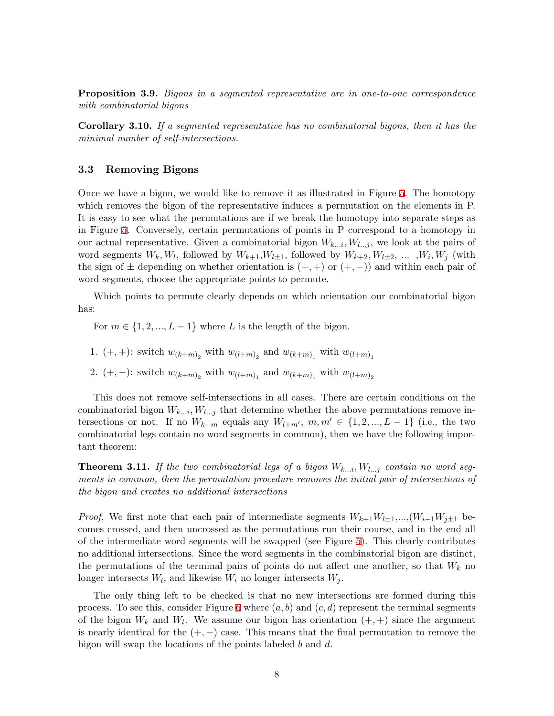<span id="page-7-1"></span>**Proposition 3.9.** *Bigons in a segmented representative are in one-to-one correspondence with combinatorial bigons*

**Corollary 3.10.** *If a segmented representative has no combinatorial bigons, then it has the minimal number of self-intersections.*

#### **3.3 Removing Bigons**

Once we have a bigon, we would like to remove it as illustrated in Figure [5](#page-8-0). The homotopy which removes the bigon of the representative induces a permutation on the elements in P. It is easy to see what the permutations are if we break the homotopy into separate steps as in Figure [5](#page-8-0). Conversely, certain permutations of points in P correspond to a homotopy in our actual representative. Given a combinatorial bigon  $W_{k...i}$ ,  $W_{l...j}$ , we look at the pairs of word segments  $W_k, W_l$ , followed by  $W_{k+1}, W_{l\pm 1}$ , followed by  $W_{k+2}, W_{l\pm 2}, \ldots, W_i, W_j$  (with the sign of  $\pm$  depending on whether orientation is  $(+, +)$  or  $(+, -)$ ) and within each pair of word segments, choose the appropriate points to permute.

Which points to permute clearly depends on which orientation our combinatorial bigon has:

For  $m \in \{1, 2, ..., L - 1\}$  where *L* is the length of the bigon.

- 1.  $(+, +)$ : switch  $w_{(k+m)_2}$  with  $w_{(l+m)_2}$  and  $w_{(k+m)_1}$  with  $w_{(l+m)_1}$
- 2. (+, −): switch  $w_{(k+m)_2}$  with  $w_{(l+m)_1}$  and  $w_{(k+m)_1}$  with  $w_{(l+m)_2}$

This does not remove self-intersections in all cases. There are certain conditions on the combinatorial bigon  $W_{k...i}$ ,  $W_{l...i}$  that determine whether the above permutations remove intersections or not. If no  $W_{k+m}$  equals any  $W_{l+m'}$ ,  $m, m' \in \{1, 2, ..., L-1\}$  (i.e., the two combinatorial legs contain no word segments in common), then we have the following important theorem:

<span id="page-7-0"></span>**Theorem 3.11.** If the two combinatorial legs of a bigon  $W_{k...i}$ ,  $W_{l...j}$  contain no word seg*ments in common, then the permutation procedure removes the initial pair of intersections of the bigon and creates no additional intersections*

*Proof.* We first note that each pair of intermediate segments  $W_{k+1}W_{l+1},..., (W_{i-1}W_{j+1})$  becomes crossed, and then uncrossed as the permutations run their course, and in the end all of the intermediate word segments will be swapped (see Figure [5](#page-8-0)). This clearly contributes no additional intersections. Since the word segments in the combinatorial bigon are distinct, the permutations of the terminal pairs of points do not affect one another, so that  $W_k$  no longer intersects  $W_l$ , and likewise  $W_i$  no longer intersects  $W_j$ .

The only thing left to be checked is that no new intersections are formed during this process. To see this, consider Figure [6](#page-9-0) where  $(a, b)$  and  $(c, d)$  represent the terminal segments of the bigon  $W_k$  and  $W_l$ . We assume our bigon has orientation  $(+, +)$  since the argument is nearly identical for the (+*, −*) case. This means that the final permutation to remove the bigon will swap the locations of the points labeled *b* and *d*.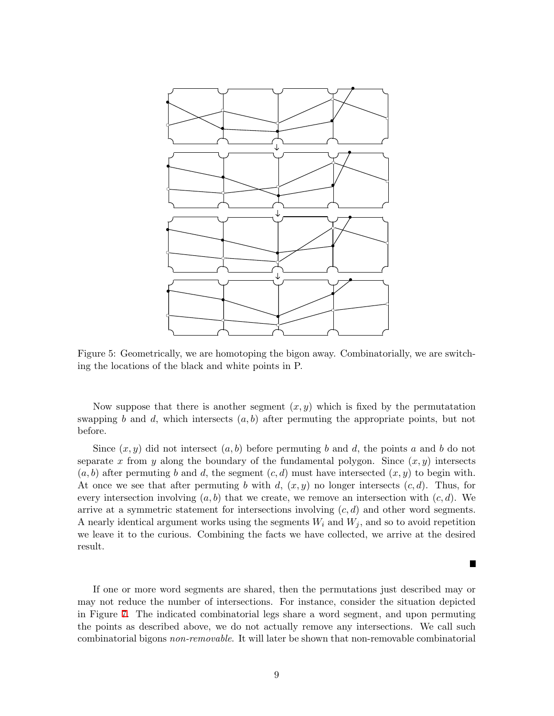

<span id="page-8-0"></span>Figure 5: Geometrically, we are homotoping the bigon away. Combinatorially, we are switching the locations of the black and white points in P.

Now suppose that there is another segment  $(x, y)$  which is fixed by the permutatation swapping *b* and *d*, which intersects  $(a, b)$  after permuting the appropriate points, but not before.

Since  $(x, y)$  did not intersect  $(a, b)$  before permuting *b* and *d*, the points *a* and *b* do not separate x from y along the boundary of the fundamental polygon. Since  $(x, y)$  intersects  $(a, b)$  after permuting *b* and *d*, the segment  $(c, d)$  must have intersected  $(x, y)$  to begin with. At once we see that after permuting *b* with *d*,  $(x, y)$  no longer intersects  $(c, d)$ . Thus, for every intersection involving  $(a, b)$  that we create, we remove an intersection with  $(c, d)$ . We arrive at a symmetric statement for intersections involving  $(c, d)$  and other word segments. <sup>A</sup> nearly identical argument works using the segments *<sup>W</sup><sup>i</sup>* and *<sup>W</sup><sup>j</sup>* , and so to avoid repetition we leave it to the curious. Combining the facts we have collected, we arrive at the desired result.

If one or more word segments are shared, then the permutations just described may or may not reduce the number of intersections. For instance, consider the situation depicted in Figure [7](#page-9-1). The indicated combinatorial legs share <sup>a</sup> word segment, and upon permuting the points as described above, we do not actually remove any intersections. We call such combinatorial bigons *non-removable*. It will later be shown that non-removable combinatorial

×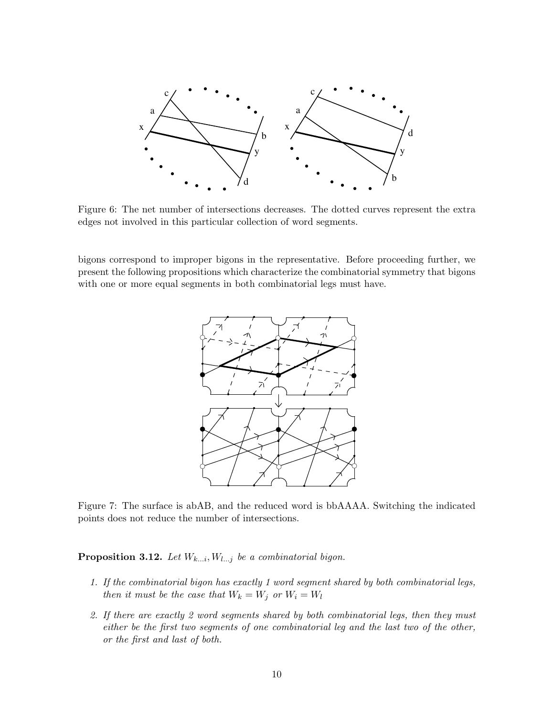

<span id="page-9-0"></span>Figure 6: The net number of intersections decreases. The dotted curves represent the extra edges not involved in this particular collection of word segments.

bigons correspond to improper bigons in the representative. Before proceeding further, we present the following propositions which characterize the combinatorial symmetry that bigons with one or more equal segments in both combinatorial legs must have.



<span id="page-9-1"></span>Figure 7: The surface is abAB, and the reduced word is bbAAAA. Switching the indicated points does not reduce the number of intersections.

**Proposition 3.12.** *Let*  $W_{k...i}$ *,*  $W_{l...j}$  *be a combinatorial bigon.* 

- 1. If the combinatorial bigon has exactly 1 word segment shared by both combinatorial legs, *then it must be the case that*  $W_k = W_j$  *or*  $W_i = W_l$
- 2. If there are exactly 2 word segments shared by both combinatorial legs, then they must either be the first two segments of one combinatorial leg and the last two of the other, *or the first and last of both.*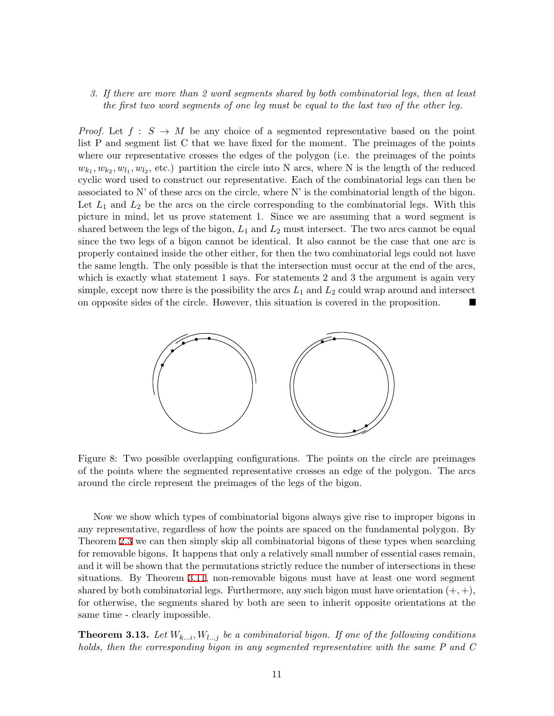#### *3. If there are more than 2 word segments shared by both combinatorial legs, then at least the first two word segments of one leg must be equal to the last two of the other leg.*

*Proof.* Let  $f : S \to M$  be any choice of a segmented representative based on the point list P and segment list C that we have fixed for the moment. The preimages of the points where our representative crosses the edges of the polygon (i.e. the preimages of the points  $w_{k_1}, w_{k_2}, w_{l_1}, w_{l_2}$ , etc.) partition the circle into N arcs, where N is the length of the reduced cyclic word used to construct our representative. Each of the combinatorial legs can then be associated to N' of these arcs on the circle, where N' is the combinatorial length of the bigon. Let  $L_1$  and  $L_2$  be the arcs on the circle corresponding to the combinatorial legs. With this picture in mind, let us prove statement 1. Since we are assuming that a word segment is shared between the legs of the bigon, *L*<sup>1</sup> and *L*<sup>2</sup> must intersect. The two arcs cannot be equal since the two legs of a bigon cannot be identical. It also cannot be the case that one arc is properly contained inside the other either, for then the two combinatorial legs could not have the same length. The only possible is that the intersection must occur at the end of the arcs, which is exactly what statement 1 says. For statements 2 and 3 the argument is again very simple, except now there is the possibility the arcs  $L_1$  and  $L_2$  could wrap around and intersect on opposite sides of the circle. However, this situation is covered in the proposition.



<span id="page-10-0"></span>Figure 8: Two possible overlapping configurations. The points on the circle are preimages of the points where the segmented representative crosses an edge of the polygon. The arcs around the circle represent the preimages of the legs of the bigon.

Now we show which types of combinatorial bigons always give rise to improper bigons in any representative, regardless of how the points are spaced on the fundamental polygon. By Theorem [2.3](#page-2-1) we can then simply skip all combinatorial bigons of these types when searching for removable bigons. It happens that only a relatively small number of essential cases remain, and it will be shown that the permutations strictly reduce the number of intersections in these situations. By Theorem [3.11](#page-7-0), non-removable bigons must have at least one word segment shared by both combinatorial legs. Furthermore, any such bigon must have orientation  $(+, +)$ , for otherwise, the segments shared by both are seen to inherit opposite orientations at the same time - clearly impossible.

<span id="page-10-1"></span>**Theorem 3.13.** Let  $W_{k...i}$ ,  $W_{l...j}$  be a combinatorial bigon. If one of the following conditions *holds, then the corresponding bigon in any segmented representative with the same P and C*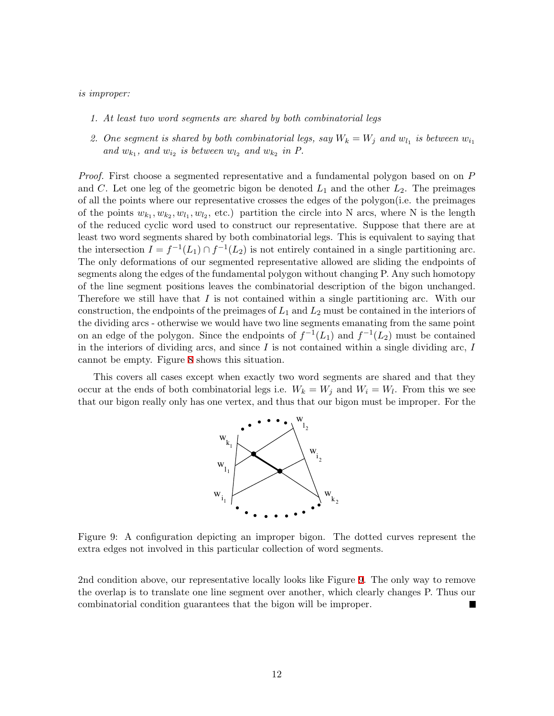#### *is improper:*

- *1. At least two word segments are shared by both combinatorial legs*
- 2. One segment is shared by both combinatorial legs, say  $W_k = W_j$  and  $w_{l_1}$  is between  $w_{i_1}$ and  $w_{k_1}$ , and  $w_{i_2}$  is between  $w_{l_2}$  and  $w_{k_2}$  in  $P$ .

*Proof.* First choose a segmented representative and a fundamental polygon based on on *P* and *C*. Let one leg of the geometric bigon be denoted  $L_1$  and the other  $L_2$ . The preimages of all the points where our representative crosses the edges of the polygon(i.e. the preimages of the points  $w_{k_1}, w_{k_2}, w_{l_1}, w_{l_2}$ , etc.) partition the circle into N arcs, where N is the length of the reduced cyclic word used to construct our representative. Suppose that there are at least two word segments shared by both combinatorial legs. This is equivalent to saying that the intersection  $I = f^{-1}(L_1) \cap f^{-1}(L_2)$  is not entirely contained in a single partitioning arc. The only deformations of our segmented representative allowed are sliding the endpoints of segments along the edges of the fundamental polygon without changing P. Any such homotopy of the line segment positions leaves the combinatorial description of the bigon unchanged. Therefore we still have that *I* is not contained within a single partitioning arc. With our construction, the endpoints of the preimages of *L*<sup>1</sup> and *L*<sup>2</sup> must be contained in the interiors of the dividing arcs - otherwise we would have two line segments emanating from the same point on an edge of the polygon. Since the endpoints of  $f^{-1}(L_1)$  and  $f^{-1}(L_2)$  must be contained in the interiors of dividing arcs, and since *I* is not contained within a single dividing arc, *I* cannot be empty. Figure [8](#page-10-0) shows this situation.

This covers all cases except when exactly two word segments are shared and that they occur at the ends of both combinatorial legs i.e.  $W_k = W_j$  and  $W_i = W_l$ . From this we see that our bigon really only has one vertex, and thus that our bigon must be improper. For the



<span id="page-11-0"></span>Figure 9: A configuration depicting an improper bigon. The dotted curves represent the extra edges not involved in this particular collection of word segments.

2nd condition above, our representative locally looks like Figure [9.](#page-11-0) The only way to remove the overlap is to translate one line segment over another, which clearly changes P. Thus our combinatorial condition guarantees that the bigon will be improper.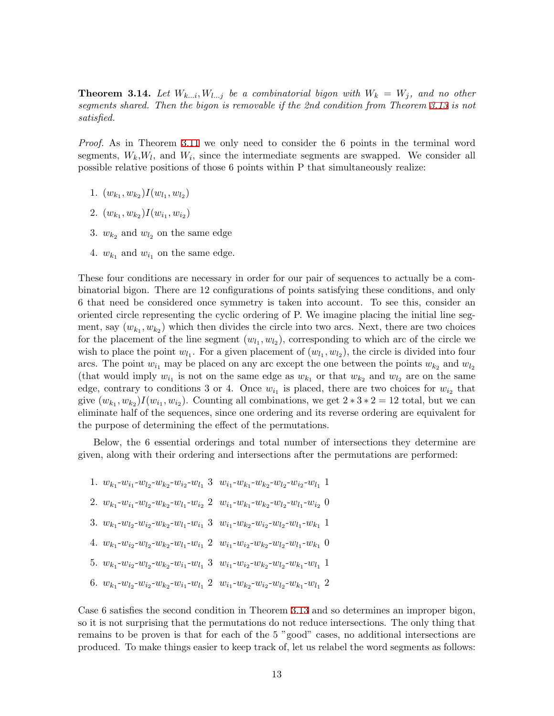<span id="page-12-0"></span>**Theorem 3.14.** Let  $W_{k...i}, W_{l...j}$  be a combinatorial bigon with  $W_k = W_j$ , and no other *segments shared. Then the bigon is removable if the 2nd condition from Theorem [3.13](#page-10-1) is not satisfied.*

*Proof.* As in Theorem [3.11](#page-7-0) we only need to consider the 6 points in the terminal word segments,  $W_k, W_l$ , and  $W_i$ , since the intermediate segments are swapped. We consider all possible relative positions of those 6 points within P that simultaneously realize:

- 1.  $(w_{k_1}, w_{k_2})I(w_{l_1}, w_{l_2})$
- 2.  $(w_{k_1}, w_{k_2})I(w_{i_1}, w_{i_2})$
- 3.  $w_{k_2}$  and  $w_{l_2}$  on the same edge
- 4.  $w_{k_1}$  and  $w_{i_1}$  on the same edge.

These four conditions are necessary in order for our pair of sequences to actually be a combinatorial bigon. There are 12 configurations of points satisfying these conditions, and only 6 that need be considered once symmetry is taken into account. To see this, consider an oriented circle representing the cyclic ordering of P. We imagine placing the initial line segment, say  $(w_{k_1}, w_{k_2})$  which then divides the circle into two arcs. Next, there are two choices for the placement of the line segment  $(w_{l_1}, w_{l_2})$ , corresponding to which arc of the circle we wish to place the point  $w_{l_1}$ . For a given placement of  $(w_{l_1}, w_{l_2})$ , the circle is divided into four arcs. The point  $w_{i_1}$  may be placed on any arc except the one between the points  $w_{k_2}$  and  $w_{l_2}$ (that would imply  $w_{i_1}$  is not on the same edge as  $w_{k_1}$  or that  $w_{k_2}$  and  $w_{l_2}$  are on the same edge, contrary to conditions 3 or 4. Once  $w_{i_1}$  is placed, there are two choices for  $w_{i_2}$  that give  $(w_{k_1}, w_{k_2})I(w_{i_1}, w_{i_2})$ . Counting all combinations, we get  $2 * 3 * 2 = 12$  total, but we can eliminate half of the sequences, since one ordering and its reverse ordering are equivalent for the purpose of determining the effect of the permutations.

Below, the 6 essential orderings and total number of intersections they determine are given, along with their ordering and intersections after the permutations are performed:

- 1.  $w_{k_1}$ - $w_{i_1}$ - $w_{l_2}$ - $w_{k_2}$ - $w_{i_2}$ - $w_{l_1}$  3  $w_{i_1}$ - $w_{k_1}$ - $w_{k_2}$ - $w_{l_2}$ - $w_{i_2}$ - $w_{l_1}$  1
- 2.  $w_{k_1}$ - $w_{i_1}$ - $w_{l_2}$ - $w_{k_2}$ - $w_{l_1}$ - $w_{i_2}$  2  $w_{i_1}$ - $w_{k_1}$ - $w_{k_2}$ - $w_{l_2}$ - $w_{l_1}$ - $w_{i_2}$  0
- 3.  $w_{k_1}$ - $w_{l_2}$ - $w_{i_2}$ - $w_{k_2}$ - $w_{l_1}$ - $w_{i_1}$  3  $w_{i_1}$ - $w_{k_2}$ - $w_{i_2}$ - $w_{l_2}$ - $w_{l_1}$ - $w_{k_1}$  1
- 4.  $w_{k_1}$ - $w_{i_2}$ - $w_{l_2}$ - $w_{k_2}$ - $w_{l_1}$ - $w_{i_1}$  2  $w_{i_1}$ - $w_{i_2}$ - $w_{k_2}$ - $w_{l_2}$ - $w_{l_1}$ - $w_{k_1}$  0
- 5.  $w_{k_1}$ - $w_{i_2}$ - $w_{l_2}$ - $w_{k_2}$ - $w_{i_1}$ - $w_{l_1}$  3  $w_{i_1}$ - $w_{i_2}$ - $w_{k_2}$ - $w_{l_2}$ - $w_{k_1}$ - $w_{l_1}$  1
- 6.  $w_{k_1}$ - $w_{l_2}$ - $w_{i_2}$ - $w_{k_2}$ - $w_{i_1}$ - $w_{l_1}$  2  $w_{i_1}$ - $w_{k_2}$ - $w_{i_2}$ - $w_{l_2}$ - $w_{k_1}$ - $w_{l_1}$  2

Case 6 satisfies the second condition in Theorem [3.13](#page-10-1) and so determines an improper bigon, so it is not surprising that the permutations do not reduce intersections. The only thing that remains to be proven is that for each of the 5 "good" cases, no additional intersections are produced. To make things easier to keep track of, let us relabel the word segments as follows: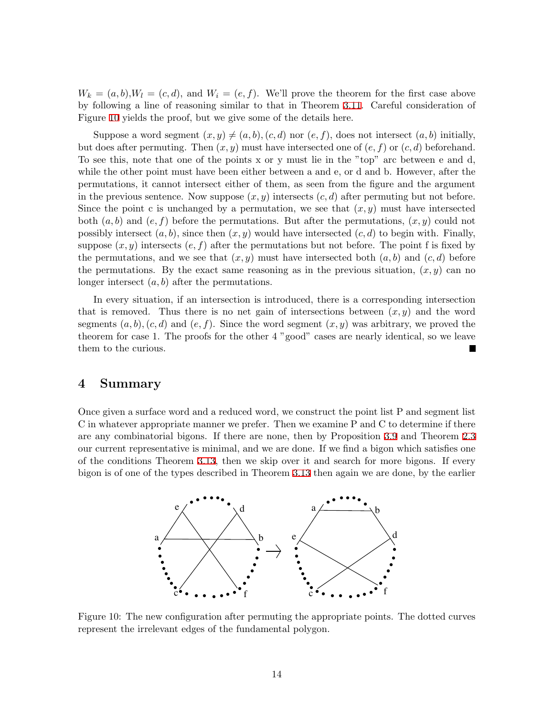$W_k = (a, b)$ ,  $W_l = (c, d)$ , and  $W_i = (e, f)$ . We'll prove the theorem for the first case above by following a line of reasoning similar to that in Theorem [3.11](#page-7-0). Careful consideration of Figure [10](#page-13-1) yields the proof, but we give some of the details here.

Suppose a word segment  $(x, y) \neq (a, b)$ *,*  $(c, d)$  nor  $(e, f)$ *,* does not intersect  $(a, b)$  initially, but does after permuting. Then  $(x, y)$  must have intersected one of  $(e, f)$  or  $(c, d)$  beforehand. To see this, note that one of the points x or y must lie in the "top" arc between e and d, while the other point must have been either between a and e, or d and b. However, after the permutations, it cannot intersect either of them, as seen from the figure and the argument in the previous sentence. Now suppose  $(x, y)$  intersects  $(c, d)$  after permuting but not before. Since the point c is unchanged by a permutation, we see that  $(x, y)$  must have intersected both (*a, b*) and (*e, f*) before the permutations. But after the permutations, (*x, y*) could not possibly intersect  $(a, b)$ , since then  $(x, y)$  would have intersected  $(c, d)$  to begin with. Finally, suppose  $(x, y)$  intersects  $(e, f)$  after the permutations but not before. The point f is fixed by the permutations, and we see that  $(x, y)$  must have intersected both  $(a, b)$  and  $(c, d)$  before the permutations. By the exact same reasoning as in the previous situation,  $(x, y)$  can no longer intersect (*a, b*) after the permutations.

In every situation, if an intersection is introduced, there is a corresponding intersection that is removed. Thus there is no net gain of intersections between  $(x, y)$  and the word segments  $(a, b)$ *,*  $(c, d)$  and  $(e, f)$ . Since the word segment  $(x, y)$  was arbitrary, we proved the theorem for case 1. The proofs for the other 4 "good" cases are nearly identical, so we leave them to the curious.

## <span id="page-13-0"></span>**4 Summary**

Once given a surface word and a reduced word, we construct the point list P and segment list C in whatever appropriate manner we prefer. Then we examine P and C to determine if there are any combinatorial bigons. If there are none, then by Proposition [3.9](#page-7-1) and Theorem [2.3](#page-2-1) our current representative is minimal, and we are done. If we find a bigon which satisfies one of the conditions Theorem [3.13](#page-10-1), then we skip over it and search for more bigons. If every bigon is of one of the types described in Theorem [3.13](#page-10-1) then again we are done, by the earlier



<span id="page-13-1"></span>Figure 10: The new configuration after permuting the appropriate points. The dotted curves represent the irrelevant edges of the fundamental polygon.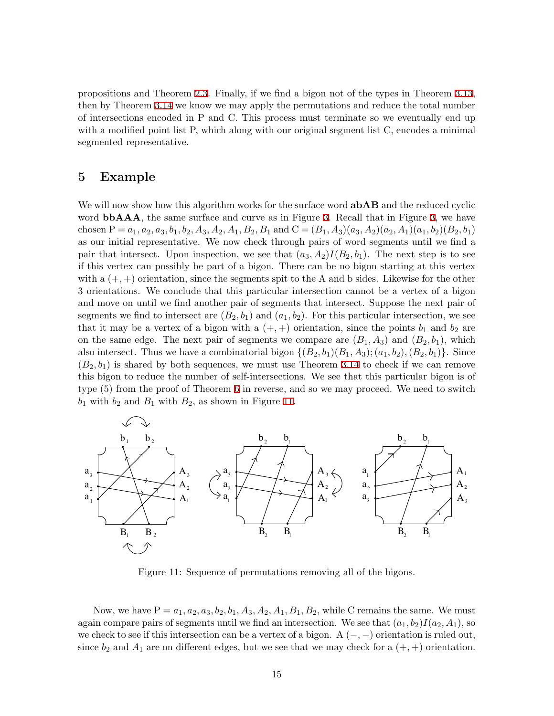propositions and Theorem [2.3.](#page-2-1) Finally, if we find a bigon not of the types in Theorem [3.13,](#page-10-1) then by Theorem [3.14](#page-12-0) we know we may apply the permutations and reduce the total number of intersections encoded in P and C. This process must terminate so we eventually end up with a modified point list P, which along with our original segment list C, encodes a minimal segmented representative.

## <span id="page-14-0"></span>**5 Example**

We will now show how this algorithm works for the surface word **abAB** and the reduced cyclic word **bbAAA**, the same surface and curve as in Figure [3](#page-4-0). Recall that in Figure 3, we have chosen  $P = a_1, a_2, a_3, b_1, b_2, A_3, A_2, A_1, B_2, B_1$  and  $C = (B_1, A_3)(a_3, A_2)(a_2, A_1)(a_1, b_2)(B_2, b_1)$ as our initial representative. We now check through pairs of word segments until we find a pair that intersect. Upon inspection, we see that  $(a_3, A_2)I(B_2, b_1)$ . The next step is to see if this vertex can possibly be part of a bigon. There can be no bigon starting at this vertex with a  $(+, +)$  orientation, since the segments spit to the A and b sides. Likewise for the other 3 orientations. We conclude that this particular intersection cannot be a vertex of a bigon and move on until we find another pair of segments that intersect. Suppose the next pair of segments we find to intersect are  $(B_2, b_1)$  and  $(a_1, b_2)$ . For this particular intersection, we see that it may be a vertex of a bigon with a  $(+, +)$  orientation, since the points  $b_1$  and  $b_2$  are on the same edge. The next pair of segments we compare are  $(B_1, A_3)$  and  $(B_2, b_1)$ , which also intersect. Thus we have a combinatorial bigon  $\{(B_2, b_1)(B_1, A_3); (a_1, b_2), (B_2, b_1)\}\.$  Since  $(B_2, b_1)$  is shared by both sequences, we must use Theorem [3.14](#page-12-0) to check if we can remove this bigon to reduce the number of self-intersections. We see that this particular bigon is of type (5) from the proof of Theorem [6](#page-9-0) in reverse, and so we may proceed. We need to switch  $b_1$  with  $b_2$  and  $B_1$  with  $B_2$ , as shown in Figure [11](#page-14-1).



<span id="page-14-1"></span>Figure 11: Sequence of permutations removing all of the bigons.

Now, we have  $P = a_1, a_2, a_3, b_2, b_1, A_3, A_2, A_1, B_1, B_2$ , while C remains the same. We must again compare pairs of segments until we find an intersection. We see that  $(a_1, b_2)I(a_2, A_1)$ , so we check to see if this intersection can be <sup>a</sup> vertex of <sup>a</sup> bigon. <sup>A</sup> (*<sup>−</sup>, <sup>−</sup>*) orientation is ruled out, since  $b_2$  and  $A_1$  are on different edges, but we see that we may check for a  $(+, +)$  orientation.